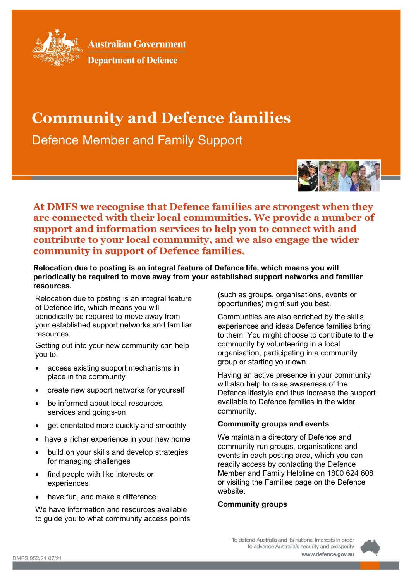

**Australian Government** 

# **Department of Defence**

# **Community and Defence families**

**Defence Member and Family Support** 



**At DMFS we recognise that Defence families are strongest when they are connected with their local communities. We provide a number of support and information services to help you to connect with and contribute to your local community, and we also engage the wider community in support of Defence families.**

**Relocation due to posting is an integral feature of Defence life, which means you will periodically be required to move away from your established support networks and familiar resources.**

Relocation due to posting is an integral feature of Defence life, which means you will periodically be required to move away from your established support networks and familiar resources.

Getting out into your new community can help you to:

- access existing support mechanisms in place in the community
- create new support networks for yourself
- be informed about local resources, services and goings-on
- get orientated more quickly and smoothly
- have a richer experience in your new home
- build on your skills and develop strategies for managing challenges
- find people with like interests or experiences
- have fun, and make a difference.

We have information and resources available to guide you to what community access points (such as groups, organisations, events or opportunities) might suit you best.

Communities are also enriched by the skills, experiences and ideas Defence families bring to them. You might choose to contribute to the community by volunteering in a local organisation, participating in a community group or starting your own.

Having an active presence in your community will also help to raise awareness of the Defence lifestyle and thus increase the support available to Defence families in the wider community.

## **Community groups and events**

We maintain a directory of Defence and community-run groups, organisations and events in each posting area, which you can readily access by contacting the Defence Member and Family Helpline on 1800 624 608 or visiting the Families page on the Defence website.

## **Community groups**